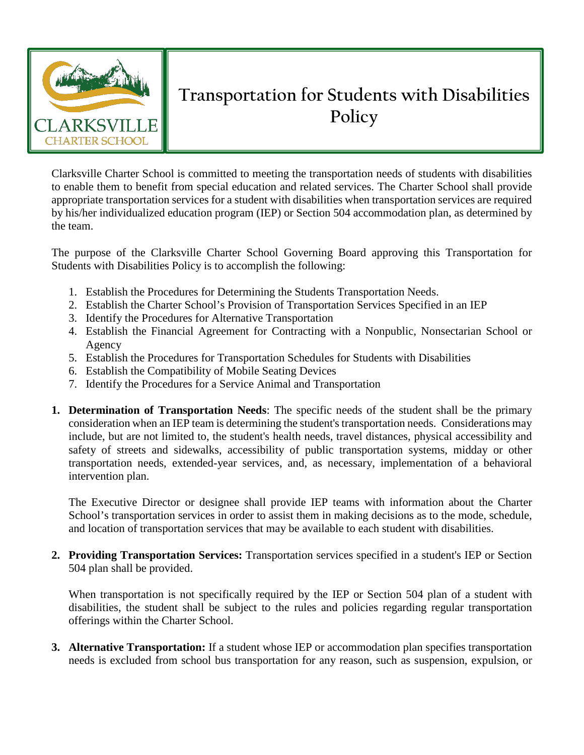

## **Transportation for Students with Disabilities Policy**

Clarksville Charter School is committed to meeting the transportation needs of students with disabilities to enable them to benefit from special education and related services. The Charter School shall provide appropriate transportation services for a student with disabilities when transportation services are required by his/her individualized education program (IEP) or Section 504 accommodation plan, as determined by the team.

The purpose of the Clarksville Charter School Governing Board approving this Transportation for Students with Disabilities Policy is to accomplish the following:

- 1. Establish the Procedures for Determining the Students Transportation Needs.
- 2. Establish the Charter School's Provision of Transportation Services Specified in an IEP
- 3. Identify the Procedures for Alternative Transportation
- 4. Establish the Financial Agreement for Contracting with a Nonpublic, Nonsectarian School or Agency
- 5. Establish the Procedures for Transportation Schedules for Students with Disabilities
- 6. Establish the Compatibility of Mobile Seating Devices
- 7. Identify the Procedures for a Service Animal and Transportation
- **1. Determination of Transportation Needs**: The specific needs of the student shall be the primary consideration when an IEP team is determining the student's transportation needs. Considerations may include, but are not limited to, the student's health needs, travel distances, physical accessibility and safety of streets and sidewalks, accessibility of public transportation systems, midday or other transportation needs, extended-year services, and, as necessary, implementation of a behavioral intervention plan.

The Executive Director or designee shall provide IEP teams with information about the Charter School's transportation services in order to assist them in making decisions as to the mode, schedule, and location of transportation services that may be available to each student with disabilities.

**2. Providing Transportation Services:** Transportation services specified in a student's IEP or Section 504 plan shall be provided.

When transportation is not specifically required by the IEP or Section 504 plan of a student with disabilities, the student shall be subject to the rules and policies regarding regular transportation offerings within the Charter School.

**3. Alternative Transportation:** If a student whose IEP or accommodation plan specifies transportation needs is excluded from school bus transportation for any reason, such as suspension, expulsion, or